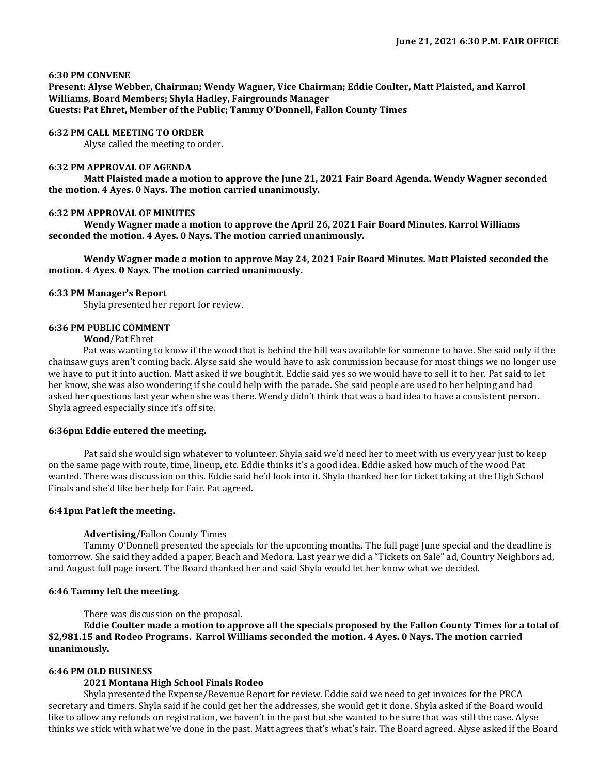### **6:30 PM CONVENE**

**Present: Alyse Webber, Chairman; Wendy Wagner, Vice Chairman; Eddie Coulter, Matt Plaisted, and Karrol Williams, Board Members; Shyla Hadley, Fairgrounds Manager Guests: Pat Ehret, Member of the Public; Tammy O'Donnell, Fallon County Times**

#### **6:32 PM CALL MEETING TO ORDER**

Alyse called the meeting to order.

#### **6:32 PM APPROVAL OF AGENDA**

**Matt Plaisted made a motion to approve the June 21, 2021 Fair Board Agenda. Wendy Wagner seconded the motion. 4 Ayes. 0 Nays. The motion carried unanimously.** 

#### **6:32 PM APPROVAL OF MINUTES**

**Wendy Wagner made a motion to approve the April 26, 2021 Fair Board Minutes. Karrol Williams seconded the motion. 4 Ayes. 0 Nays. The motion carried unanimously.**

**Wendy Wagner made a motion to approve May 24, 2021 Fair Board Minutes. Matt Plaisted seconded the motion. 4 Ayes. 0 Nays. The motion carried unanimously.**

#### **6:33 PM Manager's Report**

Shyla presented her report for review.

#### **6:36 PM PUBLIC COMMENT**

#### **Wood**/Pat Ehret

Pat was wanting to know if the wood that is behind the hill was available for someone to have. She said only if the chainsaw guys aren't coming back. Alyse said she would have to ask commission because for most things we no longer use we have to put it into auction. Matt asked if we bought it. Eddie said yes so we would have to sell it to her. Pat said to let her know, she was also wondering if she could help with the parade. She said people are used to her helping and had asked her questions last year when she was there. Wendy didn't think that was a bad idea to have a consistent person. Shyla agreed especially since it's off site.

#### **6:36pm Eddie entered the meeting.**

Pat said she would sign whatever to volunteer. Shyla said we'd need her to meet with us every year just to keep on the same page with route, time, lineup, etc. Eddie thinks it's a good idea. Eddie asked how much of the wood Pat wanted. There was discussion on this. Eddie said he'd look into it. Shyla thanked her for ticket taking at the High School Finals and she'd like her help for Fair. Pat agreed.

### **6:41pm Pat left the meeting.**

### **Advertising**/Fallon County Times

Tammy O'Donnell presented the specials for the upcoming months. The full page June special and the deadline is tomorrow. She said they added a paper, Beach and Medora. Last year we did a "Tickets on Sale" ad, Country Neighbors ad, and August full page insert. The Board thanked her and said Shyla would let her know what we decided.

### **6:46 Tammy left the meeting.**

There was discussion on the proposal.

**Eddie Coulter made a motion to approve all the specials proposed by the Fallon County Times for a total of \$2,981.15 and Rodeo Programs. Karrol Williams seconded the motion. 4 Ayes. 0 Nays. The motion carried unanimously.**

### **6:46 PM OLD BUSINESS**

### **2021 Montana High School Finals Rodeo**

Shyla presented the Expense/Revenue Report for review. Eddie said we need to get invoices for the PRCA secretary and timers. Shyla said if he could get her the addresses, she would get it done. Shyla asked if the Board would like to allow any refunds on registration, we haven't in the past but she wanted to be sure that was still the case. Alyse thinks we stick with what we've done in the past. Matt agrees that's what's fair. The Board agreed. Alyse asked if the Board